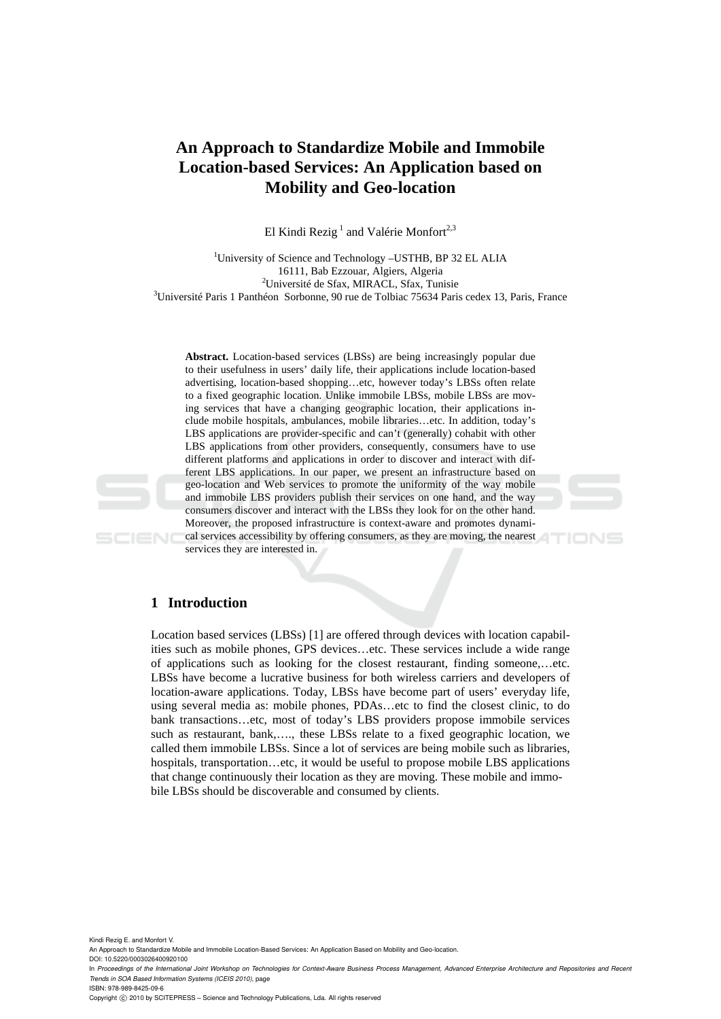# **An Approach to Standardize Mobile and Immobile Location-based Services: An Application based on Mobility and Geo-location**

El Kindi Rezig<sup>1</sup> and Valérie Monfort<sup>2,3</sup>

<sup>1</sup>University of Science and Technology -USTHB, BP 32 EL ALIA 16111, Bab Ezzouar, Algiers, Algeria 2 <sup>2</sup>Université de Sfax, MIRACL, Sfax, Tunisie <sup>3</sup>Université Paris 1 Panthéon Sorbonne, 90 rue de Tolbiac 75634 Paris cedex 13, Paris, France

**Abstract.** Location-based services (LBSs) are being increasingly popular due to their usefulness in users' daily life, their applications include location-based advertising, location-based shopping…etc, however today's LBSs often relate to a fixed geographic location. Unlike immobile LBSs, mobile LBSs are moving services that have a changing geographic location, their applications include mobile hospitals, ambulances, mobile libraries…etc. In addition, today's LBS applications are provider-specific and can't (generally) cohabit with other LBS applications from other providers, consequently, consumers have to use different platforms and applications in order to discover and interact with different LBS applications. In our paper, we present an infrastructure based on geo-location and Web services to promote the uniformity of the way mobile and immobile LBS providers publish their services on one hand, and the way consumers discover and interact with the LBSs they look for on the other hand. Moreover, the proposed infrastructure is context-aware and promotes dynamical services accessibility by offering consumers, as they are moving, the nearest

services they are interested in.

## **1 Introduction**

SCIENO

Location based services (LBSs) [1] are offered through devices with location capabilities such as mobile phones, GPS devices…etc. These services include a wide range of applications such as looking for the closest restaurant, finding someone,…etc. LBSs have become a lucrative business for both wireless carriers and developers of location-aware applications. Today, LBSs have become part of users' everyday life, using several media as: mobile phones, PDAs…etc to find the closest clinic, to do bank transactions…etc, most of today's LBS providers propose immobile services such as restaurant, bank,…., these LBSs relate to a fixed geographic location, we called them immobile LBSs. Since a lot of services are being mobile such as libraries, hospitals, transportation…etc, it would be useful to propose mobile LBS applications that change continuously their location as they are moving. These mobile and immobile LBSs should be discoverable and consumed by clients.

Kindi Rezig E. and Monfort V. An Approach to Standardize Mobile and Immobile Location-Based Services: An Application Based on Mobility and Geo-location. DOI: 10.5220/0003026400920100

In *Proceedings of the International Joint Workshop on Technologies for Context-Aware Business Process Management, Advanced Enterprise Architecture and Repositories and Recent Trends in SOA Based Information Systems (ICEIS 2010)*, page ISBN: 978-989-8425-09-6

Copyright © 2010 by SCITEPRESS - Science and Technology Publications, Lda. All rights reserved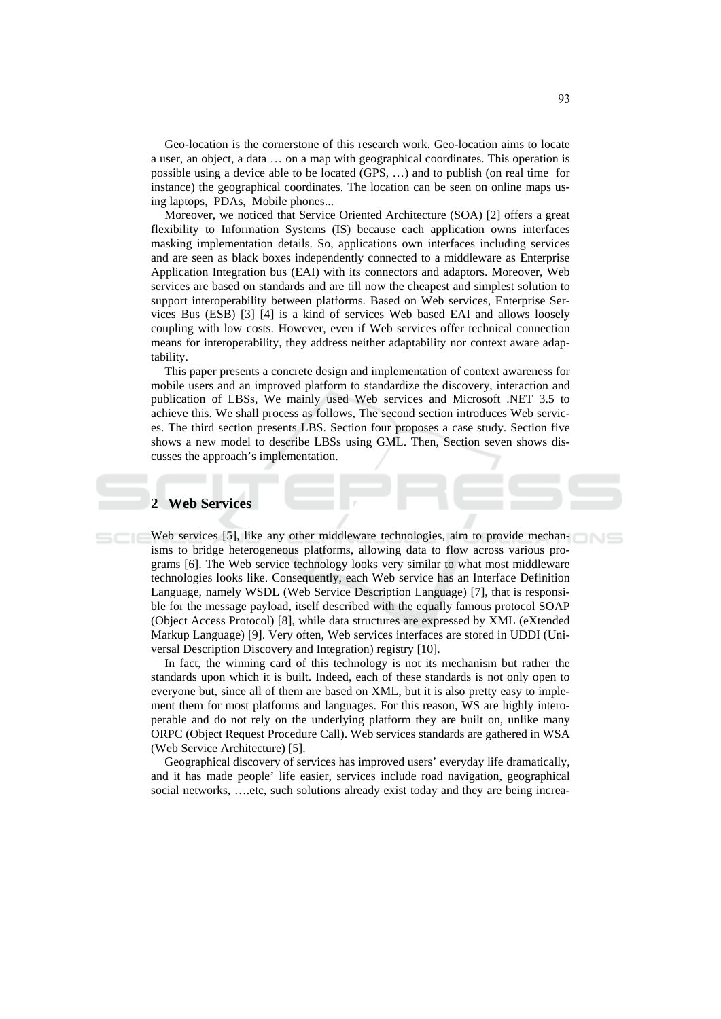Geo-location is the cornerstone of this research work. Geo-location aims to locate a user, an object, a data ... on a map with geographical coordinates. This operation is possible using a device able to be located  $(GPS, ...)$  and to publish (on real time for instance) the geographical coordinates. The location can be seen on online maps using laptops, PDAs, Mobile phones...

Moreover, we noticed that Service Oriented Architecture (SOA) [2] offers a great flexibility to Information Systems (IS) because each application owns interfaces masking implementation details. So, applications own interfaces including services and are seen as black boxes independently connected to a middleware as Enterprise Application Integration bus (EAI) with its connectors and adaptors. Moreover, Web services are based on standards and are till now the cheapest and simplest solution to support interoperability between platforms. Based on Web services, Enterprise Services Bus (ESB) [3] [4] is a kind of services Web based EAI and allows loosely coupling with low costs. However, even if Web services offer technical connection means for interoperability, they address neither adaptability nor context aware adaptability.

This paper presents a concrete design and implementation of context awareness for mobile users and an improved platform to standardize the discovery, interaction and publication of LBSs, We mainly used Web services and Microsoft .NET 3.5 to achieve this. We shall process as follows, The second section introduces Web services. The third section presents LBS. Section four proposes a case study. Section five shows a new model to describe LBSs using GML. Then, Section seven shows discusses the approach's implementation.

#### $\overline{2}$ **Web Services**

Web services [5], like any other middleware technologies, aim to provide mechanisms to bridge heterogeneous platforms, allowing data to flow across various programs [6]. The Web service technology looks very similar to what most middleware technologies looks like. Consequently, each Web service has an Interface Definition Language, namely WSDL (Web Service Description Language) [7], that is responsible for the message payload, itself described with the equally famous protocol SOAP (Object Access Protocol) [8], while data structures are expressed by XML (eXtended Markup Language) [9]. Very often, Web services interfaces are stored in UDDI (Universal Description Discovery and Integration) registry [10].

In fact, the winning card of this technology is not its mechanism but rather the standards upon which it is built. Indeed, each of these standards is not only open to everyone but, since all of them are based on XML, but it is also pretty easy to implement them for most platforms and languages. For this reason, WS are highly interoperable and do not rely on the underlying platform they are built on, unlike many ORPC (Object Request Procedure Call). Web services standards are gathered in WSA (Web Service Architecture) [5].

Geographical discovery of services has improved users' everyday life dramatically, and it has made people' life easier, services include road navigation, geographical social networks, ....etc, such solutions already exist today and they are being increa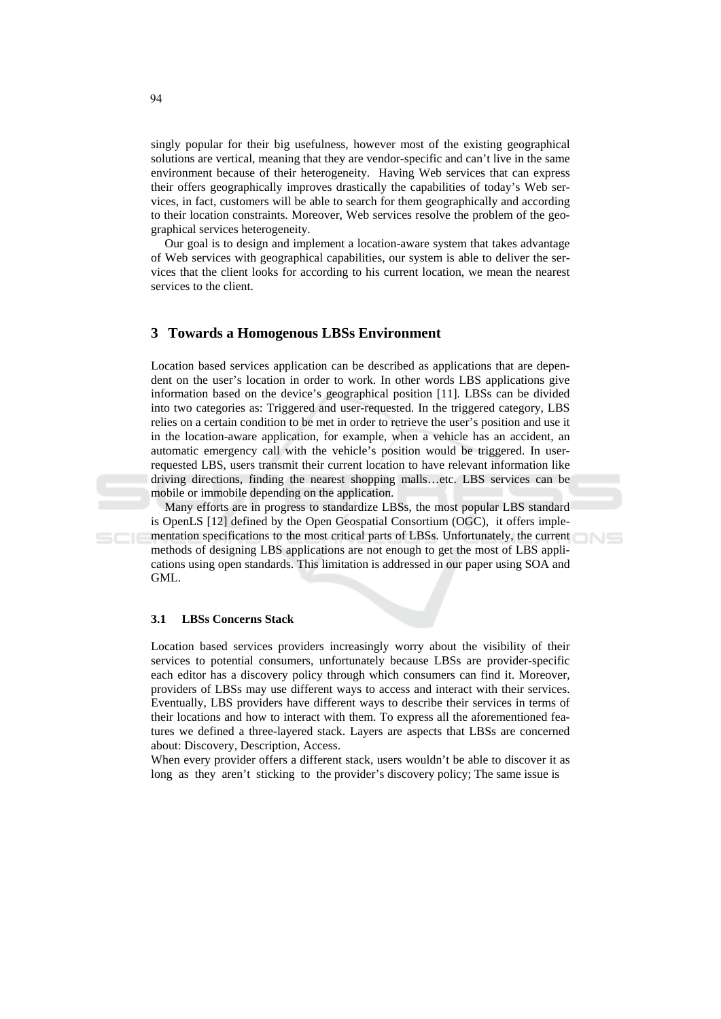singly popular for their big usefulness, however most of the existing geographical solutions are vertical, meaning that they are vendor-specific and can't live in the same environment because of their heterogeneity. Having Web services that can express their offers geographically improves drastically the capabilities of today's Web services, in fact, customers will be able to search for them geographically and according to their location constraints. Moreover, Web services resolve the problem of the geographical services heterogeneity.

Our goal is to design and implement a location-aware system that takes advantage of Web services with geographical capabilities, our system is able to deliver the services that the client looks for according to his current location, we mean the nearest services to the client.

### 3 Towards a Homogenous LBSs Environment

Location based services application can be described as applications that are dependent on the user's location in order to work. In other words LBS applications give information based on the device's geographical position [11]. LBSs can be divided into two categories as: Triggered and user-requested. In the triggered category, LBS relies on a certain condition to be met in order to retrieve the user's position and use it in the location-aware application, for example, when a vehicle has an accident, an automatic emergency call with the vehicle's position would be triggered. In userrequested LBS, users transmit their current location to have relevant information like driving directions, finding the nearest shopping malls...etc. LBS services can be mobile or immobile depending on the application.

Many efforts are in progress to standardize LBSs, the most popular LBS standard is OpenLS [12] defined by the Open Geospatial Consortium (OGC), it offers implementation specifications to the most critical parts of LBSs. Unfortunately, the current methods of designing LBS applications are not enough to get the most of LBS applications using open standards. This limitation is addressed in our paper using SOA and  $GMI$ .

#### $3.1$ **LBSs Concerns Stack**

Location based services providers increasingly worry about the visibility of their services to potential consumers, unfortunately because LBSs are provider-specific each editor has a discovery policy through which consumers can find it. Moreover, providers of LBSs may use different ways to access and interact with their services. Eventually, LBS providers have different ways to describe their services in terms of their locations and how to interact with them. To express all the aforementioned features we defined a three-layered stack. Layers are aspects that LBSs are concerned about: Discovery, Description, Access.

When every provider offers a different stack, users wouldn't be able to discover it as long as they aren't sticking to the provider's discovery policy; The same issue is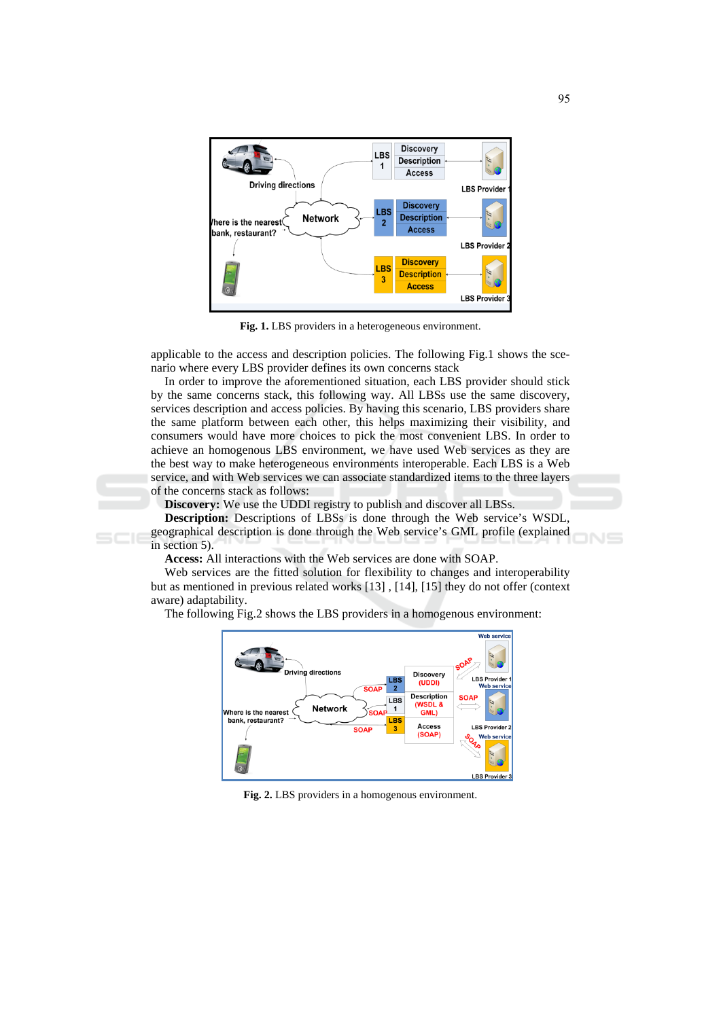

Fig. 1. LBS providers in a heterogeneous environment.

applicable to the access and description policies. The following Fig.1 shows the scenario where every LBS provider defines its own concerns stack

In order to improve the aforementioned situation, each LBS provider should stick by the same concerns stack, this following way. All LBSs use the same discovery, services description and access policies. By having this scenario, LBS providers share the same platform between each other, this helps maximizing their visibility, and consumers would have more choices to pick the most convenient LBS. In order to achieve an homogenous LBS environment, we have used Web services as they are the best way to make heterogeneous environments interoperable. Each LBS is a Web service, and with Web services we can associate standardized items to the three layers of the concerns stack as follows:

**Discovery:** We use the UDDI registry to publish and discover all LBSs.

**Description:** Descriptions of LBSs is done through the Web service's WSDL, geographical description is done through the Web service's GML profile (explained in section 5).

Access: All interactions with the Web services are done with SOAP.

Web services are the fitted solution for flexibility to changes and interoperability but as mentioned in previous related works [13], [14], [15] they do not offer (context aware) adaptability.

The following Fig.2 shows the LBS providers in a homogenous environment:



Fig. 2. LBS providers in a homogenous environment.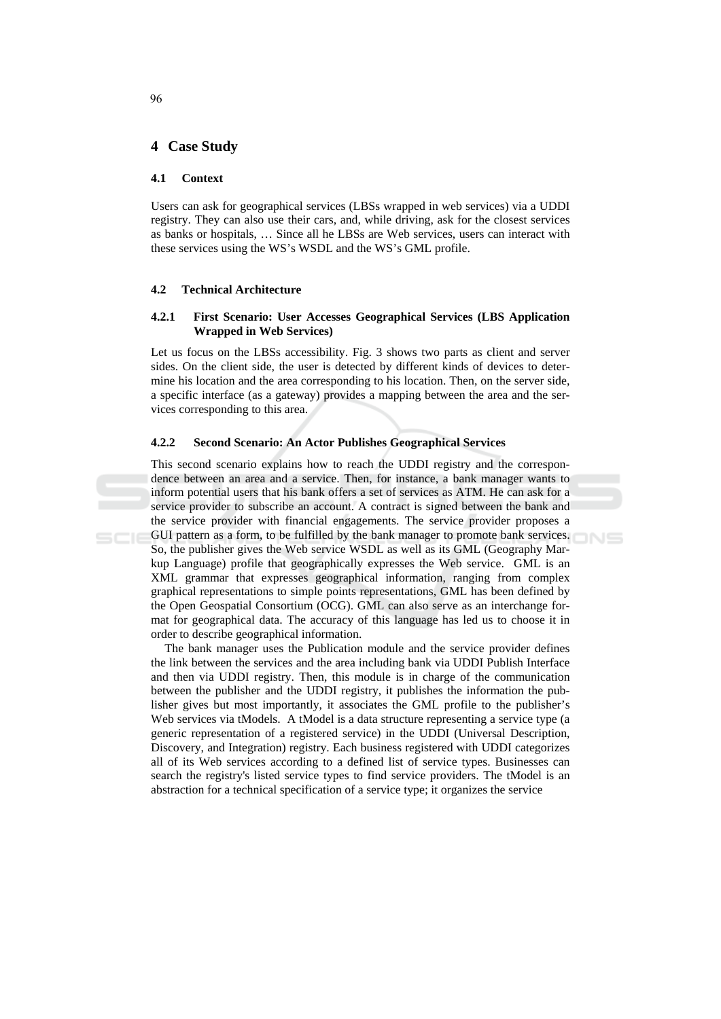### 4 Case Study

#### **Context**  $4.1$

Users can ask for geographical services (LBSs wrapped in web services) via a UDDI registry. They can also use their cars, and, while driving, ask for the closest services as banks or hospitals, ... Since all he LBSs are Web services, users can interact with these services using the WS's WSDL and the WS's GML profile.

#### **Technical Architecture**  $4.2$

#### $4.2.1$ First Scenario: User Accesses Geographical Services (LBS Application **Wrapped in Web Services)**

Let us focus on the LBSs accessibility. Fig. 3 shows two parts as client and server sides. On the client side, the user is detected by different kinds of devices to determine his location and the area corresponding to his location. Then, on the server side, a specific interface (as a gateway) provides a mapping between the area and the services corresponding to this area.

#### $4.2.2$ Second Scenario: An Actor Publishes Geographical Services

This second scenario explains how to reach the UDDI registry and the correspondence between an area and a service. Then, for instance, a bank manager wants to inform potential users that his bank offers a set of services as ATM. He can ask for a service provider to subscribe an account. A contract is signed between the bank and the service provider with financial engagements. The service provider proposes a GUI pattern as a form, to be fulfilled by the bank manager to promote bank services. So, the publisher gives the Web service WSDL as well as its GML (Geography Markup Language) profile that geographically expresses the Web service. GML is an XML grammar that expresses geographical information, ranging from complex graphical representations to simple points representations, GML has been defined by the Open Geospatial Consortium (OCG). GML can also serve as an interchange format for geographical data. The accuracy of this language has led us to choose it in order to describe geographical information.

The bank manager uses the Publication module and the service provider defines the link between the services and the area including bank via UDDI Publish Interface and then via UDDI registry. Then, this module is in charge of the communication between the publisher and the UDDI registry, it publishes the information the publisher gives but most importantly, it associates the GML profile to the publisher's Web services via tModels. A tModel is a data structure representing a service type (a generic representation of a registered service) in the UDDI (Universal Description, Discovery, and Integration) registry. Each business registered with UDDI categorizes all of its Web services according to a defined list of service types. Businesses can search the registry's listed service types to find service providers. The tModel is an abstraction for a technical specification of a service type; it organizes the service

96

 $5C$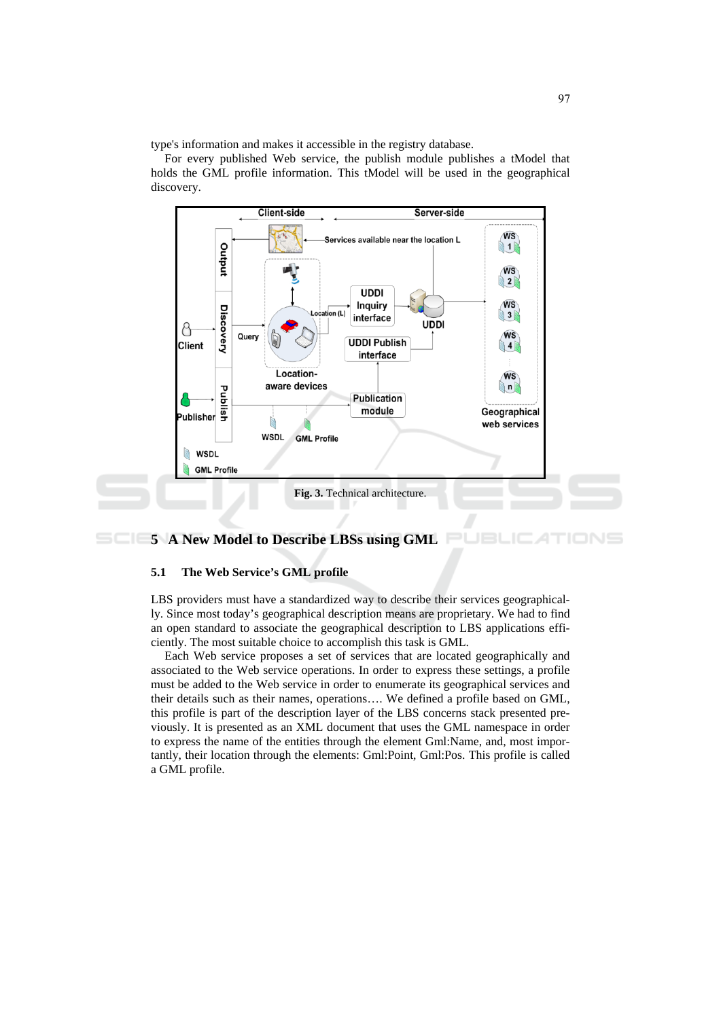type's information and makes it accessible in the registry database.

For every published Web service, the publish module publishes a tModel that holds the GML profile information. This tModel will be used in the geographical discovery.



### 5 A New Model to Describe LBSs using GML

#### $5.1$ The Web Service's GML profile

LBS providers must have a standardized way to describe their services geographically. Since most today's geographical description means are proprietary. We had to find an open standard to associate the geographical description to LBS applications efficiently. The most suitable choice to accomplish this task is GML.

Each Web service proposes a set of services that are located geographically and associated to the Web service operations. In order to express these settings, a profile must be added to the Web service in order to enumerate its geographical services and their details such as their names, operations.... We defined a profile based on GML, this profile is part of the description layer of the LBS concerns stack presented previously. It is presented as an XML document that uses the GML namespace in order to express the name of the entities through the element Gml:Name, and, most importantly, their location through the elements: Gml:Point, Gml:Pos. This profile is called a GML profile.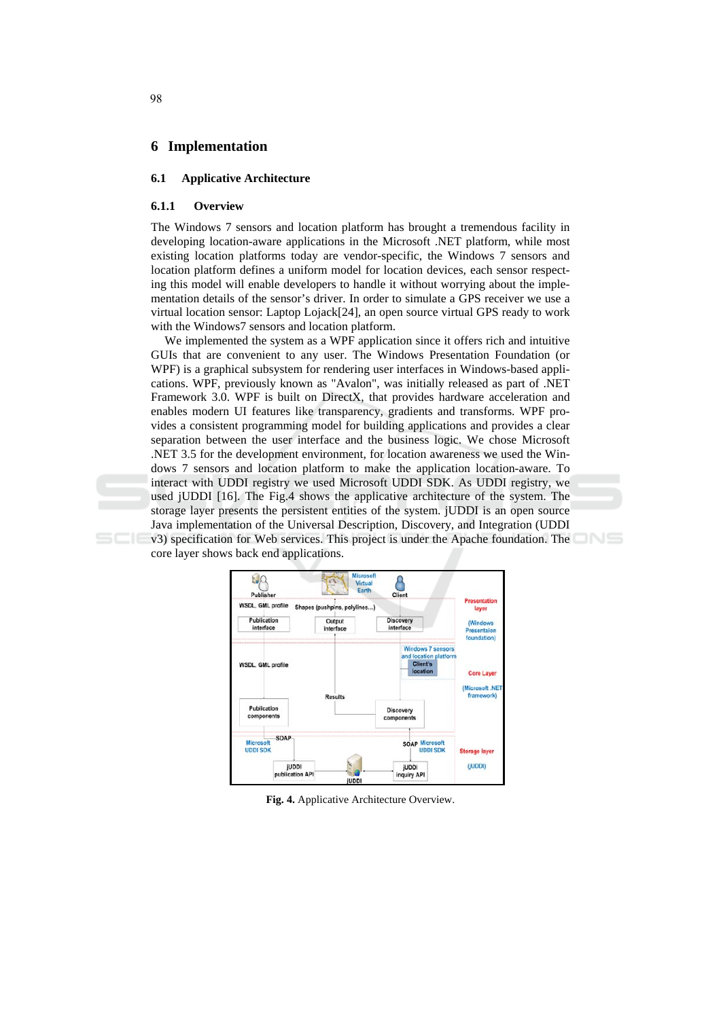### **6** Implementation

#### $6.1$ **Applicative Architecture**

#### 6.1.1 Overview

The Windows 7 sensors and location platform has brought a tremendous facility in developing location-aware applications in the Microsoft .NET platform, while most existing location platforms today are vendor-specific, the Windows 7 sensors and location platform defines a uniform model for location devices, each sensor respecting this model will enable developers to handle it without worrying about the implementation details of the sensor's driver. In order to simulate a GPS receiver we use a virtual location sensor: Laptop Lojack[24], an open source virtual GPS ready to work with the Windows7 sensors and location platform.

We implemented the system as a WPF application since it offers rich and intuitive GUIs that are convenient to any user. The Windows Presentation Foundation (or WPF) is a graphical subsystem for rendering user interfaces in Windows-based applications. WPF, previously known as "Avalon", was initially released as part of .NET Framework 3.0. WPF is built on DirectX, that provides hardware acceleration and enables modern UI features like transparency, gradients and transforms. WPF provides a consistent programming model for building applications and provides a clear separation between the user interface and the business logic. We chose Microsoft .NET 3.5 for the development environment, for location awareness we used the Windows 7 sensors and location platform to make the application location-aware. To interact with UDDI registry we used Microsoft UDDI SDK. As UDDI registry, we used jUDDI [16]. The Fig.4 shows the applicative architecture of the system. The storage layer presents the persistent entities of the system. *jUDDI* is an open source Java implementation of the Universal Description, Discovery, and Integration (UDDI) v3) specification for Web services. This project is under the Apache foundation. The core layer shows back end applications.



Fig. 4. Applicative Architecture Overview.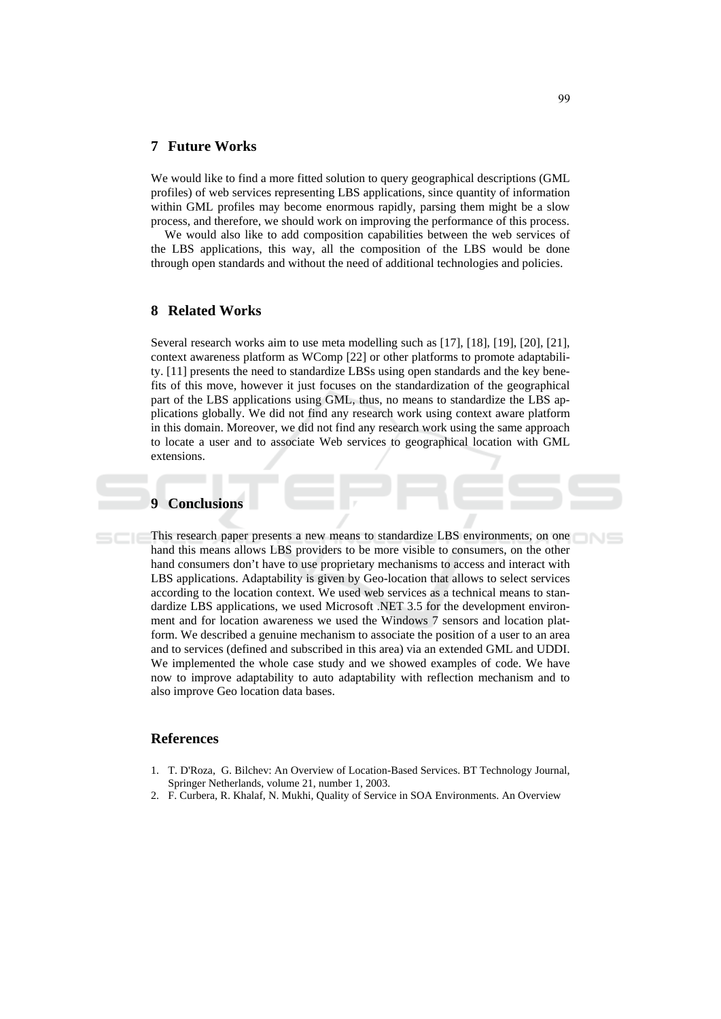### **7** Future Works

We would like to find a more fitted solution to query geographical descriptions (GML profiles) of web services representing LBS applications, since quantity of information within GML profiles may become enormous rapidly, parsing them might be a slow process, and therefore, we should work on improving the performance of this process.

We would also like to add composition capabilities between the web services of the LBS applications, this way, all the composition of the LBS would be done through open standards and without the need of additional technologies and policies.

## **8** Related Works

Several research works aim to use meta modelling such as [17], [18], [19], [20], [21], context awareness platform as WComp [22] or other platforms to promote adaptability. [11] presents the need to standardize LBSs using open standards and the key benefits of this move, however it just focuses on the standardization of the geographical part of the LBS applications using GML, thus, no means to standardize the LBS applications globally. We did not find any research work using context aware platform in this domain. Moreover, we did not find any research work using the same approach to locate a user and to associate Web services to geographical location with GML extensions.

### 9 Conclusions

This research paper presents a new means to standardize LBS environments, on one hand this means allows LBS providers to be more visible to consumers, on the other hand consumers don't have to use proprietary mechanisms to access and interact with LBS applications. Adaptability is given by Geo-location that allows to select services according to the location context. We used web services as a technical means to standardize LBS applications, we used Microsoft .NET 3.5 for the development environment and for location awareness we used the Windows 7 sensors and location platform. We described a genuine mechanism to associate the position of a user to an area and to services (defined and subscribed in this area) via an extended GML and UDDI. We implemented the whole case study and we showed examples of code. We have now to improve adaptability to auto adaptability with reflection mechanism and to also improve Geo location data bases.

### **References**

- 1. T. D'Roza, G. Bilchev: An Overview of Location-Based Services. BT Technology Journal, Springer Netherlands, volume 21, number 1, 2003.
- 2. F. Curbera, R. Khalaf, N. Mukhi, Quality of Service in SOA Environments. An Overview